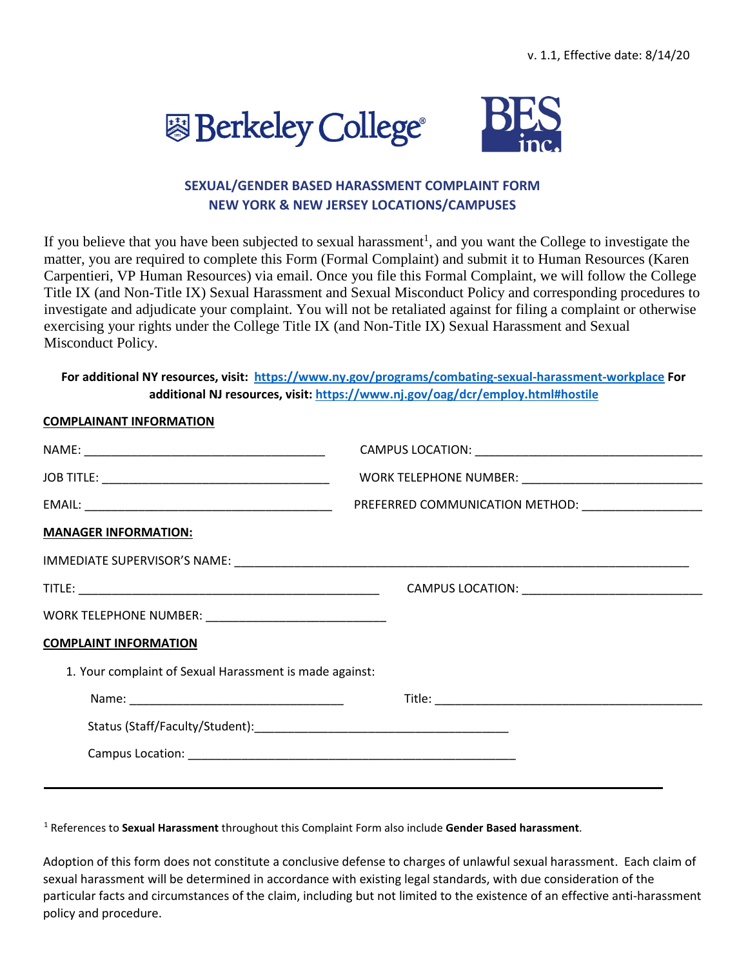



## **SEXUAL/GENDER BASED HARASSMENT COMPLAINT FORM NEW YORK & NEW JERSEY LOCATIONS/CAMPUSES**

If you believe that you have been subjected to sexual harassment<sup>1</sup>, and you want the College to investigate the matter, you are required to complete this Form (Formal Complaint) and submit it to Human Resources (Karen Carpentieri, VP Human Resources) via email. Once you file this Formal Complaint, we will follow the College Title IX (and Non-Title IX) Sexual Harassment and Sexual Misconduct Policy and corresponding procedures to investigate and adjudicate your complaint. You will not be retaliated against for filing a complaint or otherwise exercising your rights under the College Title IX (and Non-Title IX) Sexual Harassment and Sexual Misconduct Policy.

## **For additional NY resources, visit: <https://www.ny.gov/programs/combating-sexual-harassment-workplace> [F](https://www.ny.gov/programs/combating-sexual-harassment-workplace)or additional NJ resources, visit:<https://www.nj.gov/oag/dcr/employ.html#hostile>**

## **COMPLAINANT INFORMATION**

|                                                           | PREFERRED COMMUNICATION METHOD: ______________________ |  |  |  |
|-----------------------------------------------------------|--------------------------------------------------------|--|--|--|
| <b>MANAGER INFORMATION:</b>                               |                                                        |  |  |  |
|                                                           |                                                        |  |  |  |
|                                                           |                                                        |  |  |  |
| WORK TELEPHONE NUMBER: __________________________________ |                                                        |  |  |  |
| <b>COMPLAINT INFORMATION</b>                              |                                                        |  |  |  |
| 1. Your complaint of Sexual Harassment is made against:   |                                                        |  |  |  |
|                                                           |                                                        |  |  |  |
|                                                           |                                                        |  |  |  |
|                                                           |                                                        |  |  |  |
|                                                           |                                                        |  |  |  |

<sup>1</sup> References to **Sexual Harassment** throughout this Complaint Form also include **Gender Based harassment**.

Adoption of this form does not constitute a conclusive defense to charges of unlawful sexual harassment. Each claim of sexual harassment will be determined in accordance with existing legal standards, with due consideration of the particular facts and circumstances of the claim, including but not limited to the existence of an effective anti-harassment policy and procedure.